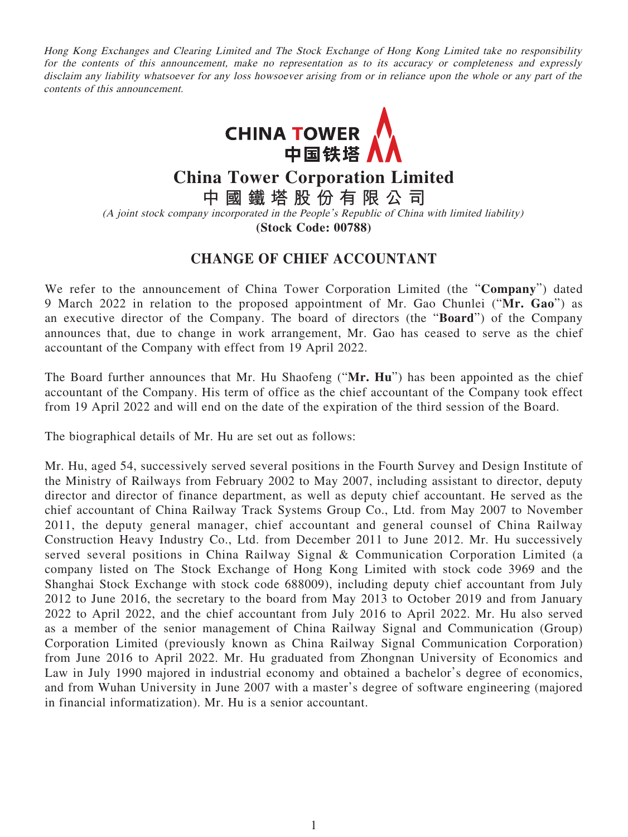Hong Kong Exchanges and Clearing Limited and The Stock Exchange of Hong Kong Limited take no responsibility for the contents of this announcement, make no representation as to its accuracy or completeness and expressly disclaim any liability whatsoever for any loss howsoever arising from or in reliance upon the whole or any part of the contents of this announcement.



**China Tower Corporation Limited**

**中國鐵塔股份有限公司**

(A joint stock company incorporated in the People's Republic of China with limited liability)

**(Stock Code: 00788)**

## **CHANGE OF CHIEF ACCOUNTANT**

We refer to the announcement of China Tower Corporation Limited (the "**Company**") dated 9 March 2022 in relation to the proposed appointment of Mr. Gao Chunlei ("**Mr. Gao**") as an executive director of the Company. The board of directors (the "**Board**") of the Company announces that, due to change in work arrangement, Mr. Gao has ceased to serve as the chief accountant of the Company with effect from 19 April 2022.

The Board further announces that Mr. Hu Shaofeng ("**Mr. Hu**") has been appointed as the chief accountant of the Company. His term of office as the chief accountant of the Company took effect from 19 April 2022 and will end on the date of the expiration of the third session of the Board.

The biographical details of Mr. Hu are set out as follows:

Mr. Hu, aged 54, successively served several positions in the Fourth Survey and Design Institute of the Ministry of Railways from February 2002 to May 2007, including assistant to director, deputy director and director of finance department, as well as deputy chief accountant. He served as the chief accountant of China Railway Track Systems Group Co., Ltd. from May 2007 to November 2011, the deputy general manager, chief accountant and general counsel of China Railway Construction Heavy Industry Co., Ltd. from December 2011 to June 2012. Mr. Hu successively served several positions in China Railway Signal & Communication Corporation Limited (a company listed on The Stock Exchange of Hong Kong Limited with stock code 3969 and the Shanghai Stock Exchange with stock code 688009), including deputy chief accountant from July 2012 to June 2016, the secretary to the board from May 2013 to October 2019 and from January 2022 to April 2022, and the chief accountant from July 2016 to April 2022. Mr. Hu also served as a member of the senior management of China Railway Signal and Communication (Group) Corporation Limited (previously known as China Railway Signal Communication Corporation) from June 2016 to April 2022. Mr. Hu graduated from Zhongnan University of Economics and Law in July 1990 majored in industrial economy and obtained a bachelor's degree of economics, and from Wuhan University in June 2007 with a master's degree of software engineering (majored in financial informatization). Mr. Hu is a senior accountant.